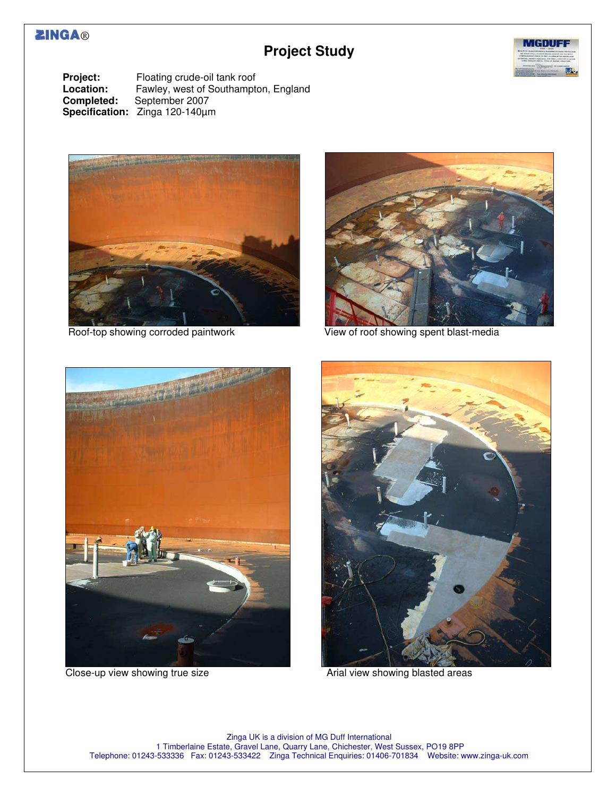## **ZINGA®**

## **Project Study**



**Project:** Floating crude-oil tank roof<br> **Location:** Fawley, west of Southampte **Location:** Fawley, west of Southampton, England **Completed:** September 2007 September 2007 **Specification:** Zinga 120-140µm





Roof-top showing corroded paintwork View of roof showing spent blast-media



Close-up view showing true size **Arial view showing blasted areas** Arial view showing blasted areas